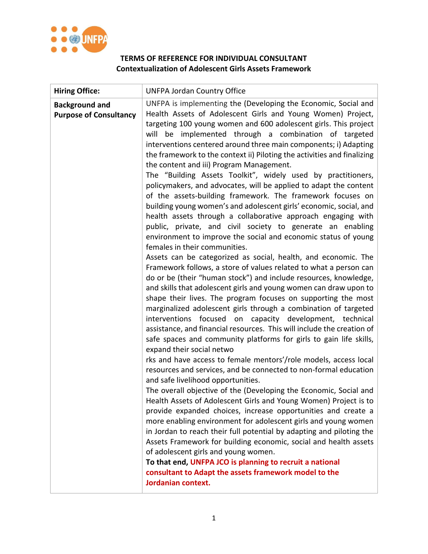

## **TERMS OF REFERENCE FOR INDIVIDUAL CONSULTANT Contextualization of Adolescent Girls Assets Framework**

| <b>Hiring Office:</b>                                  | <b>UNFPA Jordan Country Office</b>                                                                                                                                                                                                                                                                                                                                                                                                                                                                                                                                                                                                                                                                                                                                                                                                                                                                                                                                                                                                                                                                                                                                                                                                                                                                                                                                                                                                                                                                                                                                                                                                                                                                                                                                                                                                                                                                                                                                                                                                                                                                                                                                                                                                                                                                                                                                                                                    |
|--------------------------------------------------------|-----------------------------------------------------------------------------------------------------------------------------------------------------------------------------------------------------------------------------------------------------------------------------------------------------------------------------------------------------------------------------------------------------------------------------------------------------------------------------------------------------------------------------------------------------------------------------------------------------------------------------------------------------------------------------------------------------------------------------------------------------------------------------------------------------------------------------------------------------------------------------------------------------------------------------------------------------------------------------------------------------------------------------------------------------------------------------------------------------------------------------------------------------------------------------------------------------------------------------------------------------------------------------------------------------------------------------------------------------------------------------------------------------------------------------------------------------------------------------------------------------------------------------------------------------------------------------------------------------------------------------------------------------------------------------------------------------------------------------------------------------------------------------------------------------------------------------------------------------------------------------------------------------------------------------------------------------------------------------------------------------------------------------------------------------------------------------------------------------------------------------------------------------------------------------------------------------------------------------------------------------------------------------------------------------------------------------------------------------------------------------------------------------------------------|
| <b>Background and</b><br><b>Purpose of Consultancy</b> | UNFPA is implementing the (Developing the Economic, Social and<br>Health Assets of Adolescent Girls and Young Women) Project,<br>targeting 100 young women and 600 adolescent girls. This project<br>will be implemented through a combination of targeted<br>interventions centered around three main components; i) Adapting<br>the framework to the context ii) Piloting the activities and finalizing<br>the content and iii) Program Management.<br>The "Building Assets Toolkit", widely used by practitioners,<br>policymakers, and advocates, will be applied to adapt the content<br>of the assets-building framework. The framework focuses on<br>building young women's and adolescent girls' economic, social, and<br>health assets through a collaborative approach engaging with<br>public, private, and civil society to generate an enabling<br>environment to improve the social and economic status of young<br>females in their communities.<br>Assets can be categorized as social, health, and economic. The<br>Framework follows, a store of values related to what a person can<br>do or be (their "human stock") and include resources, knowledge,<br>and skills that adolescent girls and young women can draw upon to<br>shape their lives. The program focuses on supporting the most<br>marginalized adolescent girls through a combination of targeted<br>interventions focused on capacity development, technical<br>assistance, and financial resources. This will include the creation of<br>safe spaces and community platforms for girls to gain life skills,<br>expand their social netwo<br>rks and have access to female mentors'/role models, access local<br>resources and services, and be connected to non-formal education<br>and safe livelihood opportunities.<br>The overall objective of the (Developing the Economic, Social and<br>Health Assets of Adolescent Girls and Young Women) Project is to<br>provide expanded choices, increase opportunities and create a<br>more enabling environment for adolescent girls and young women<br>in Jordan to reach their full potential by adapting and piloting the<br>Assets Framework for building economic, social and health assets<br>of adolescent girls and young women.<br>To that end, UNFPA JCO is planning to recruit a national<br>consultant to Adapt the assets framework model to the<br>Jordanian context. |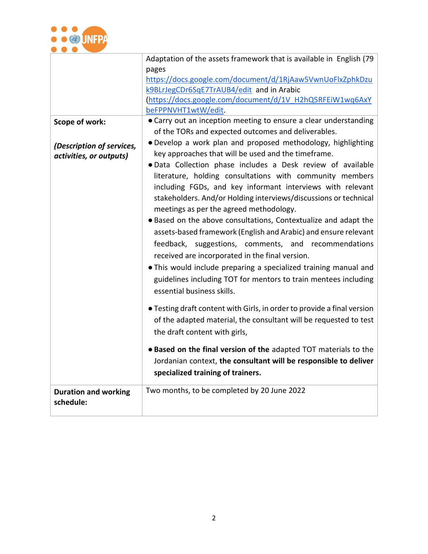

|                                          | Adaptation of the assets framework that is available in English (79     |
|------------------------------------------|-------------------------------------------------------------------------|
|                                          | pages                                                                   |
|                                          | https://docs.google.com/document/d/1RjAaw5VwnUoFlxZphkDzu               |
|                                          | k9BLrJegCDr6SqE7TrAUB4/edit and in Arabic                               |
|                                          | (https://docs.google.com/document/d/1V H2hQ5RFEiW1wq6AxY                |
|                                          | beFPPNVHT1wtW/edit.                                                     |
| Scope of work:                           | • Carry out an inception meeting to ensure a clear understanding        |
|                                          | of the TORs and expected outcomes and deliverables.                     |
| (Description of services,                | . Develop a work plan and proposed methodology, highlighting            |
| activities, or outputs)                  | key approaches that will be used and the timeframe.                     |
|                                          | . Data Collection phase includes a Desk review of available             |
|                                          | literature, holding consultations with community members                |
|                                          | including FGDs, and key informant interviews with relevant              |
|                                          |                                                                         |
|                                          | stakeholders. And/or Holding interviews/discussions or technical        |
|                                          | meetings as per the agreed methodology.                                 |
|                                          | . Based on the above consultations, Contextualize and adapt the         |
|                                          | assets-based framework (English and Arabic) and ensure relevant         |
|                                          | feedback, suggestions, comments, and recommendations                    |
|                                          | received are incorporated in the final version.                         |
|                                          | . This would include preparing a specialized training manual and        |
|                                          | guidelines including TOT for mentors to train mentees including         |
|                                          |                                                                         |
|                                          | essential business skills.                                              |
|                                          | • Testing draft content with Girls, in order to provide a final version |
|                                          | of the adapted material, the consultant will be requested to test       |
|                                          |                                                                         |
|                                          | the draft content with girls,                                           |
|                                          | . Based on the final version of the adapted TOT materials to the        |
|                                          | Jordanian context, the consultant will be responsible to deliver        |
|                                          | specialized training of trainers.                                       |
|                                          |                                                                         |
| <b>Duration and working</b><br>schedule: | Two months, to be completed by 20 June 2022                             |
|                                          |                                                                         |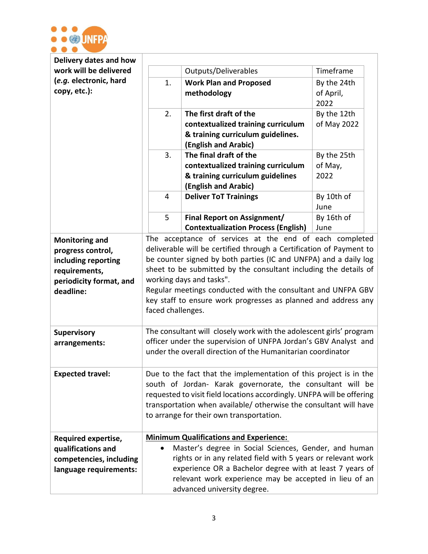

| Delivery dates and how                                                                                                     |                                                                                                                                                                                                                                                                                                                                                                                                                                                           |                                                              |             |
|----------------------------------------------------------------------------------------------------------------------------|-----------------------------------------------------------------------------------------------------------------------------------------------------------------------------------------------------------------------------------------------------------------------------------------------------------------------------------------------------------------------------------------------------------------------------------------------------------|--------------------------------------------------------------|-------------|
| work will be delivered                                                                                                     |                                                                                                                                                                                                                                                                                                                                                                                                                                                           | Outputs/Deliverables                                         | Timeframe   |
| (e.g. electronic, hard                                                                                                     | 1.                                                                                                                                                                                                                                                                                                                                                                                                                                                        | <b>Work Plan and Proposed</b>                                | By the 24th |
| copy, etc.):                                                                                                               |                                                                                                                                                                                                                                                                                                                                                                                                                                                           | methodology                                                  | of April,   |
|                                                                                                                            |                                                                                                                                                                                                                                                                                                                                                                                                                                                           |                                                              | 2022        |
|                                                                                                                            | 2.                                                                                                                                                                                                                                                                                                                                                                                                                                                        | The first draft of the                                       | By the 12th |
|                                                                                                                            |                                                                                                                                                                                                                                                                                                                                                                                                                                                           | contextualized training curriculum                           | of May 2022 |
|                                                                                                                            |                                                                                                                                                                                                                                                                                                                                                                                                                                                           | & training curriculum guidelines.                            |             |
|                                                                                                                            |                                                                                                                                                                                                                                                                                                                                                                                                                                                           | (English and Arabic)                                         |             |
|                                                                                                                            | 3.                                                                                                                                                                                                                                                                                                                                                                                                                                                        | The final draft of the                                       | By the 25th |
|                                                                                                                            |                                                                                                                                                                                                                                                                                                                                                                                                                                                           | contextualized training curriculum                           | of May,     |
|                                                                                                                            |                                                                                                                                                                                                                                                                                                                                                                                                                                                           | & training curriculum guidelines                             | 2022        |
|                                                                                                                            |                                                                                                                                                                                                                                                                                                                                                                                                                                                           | (English and Arabic)                                         |             |
|                                                                                                                            | 4                                                                                                                                                                                                                                                                                                                                                                                                                                                         | <b>Deliver ToT Trainings</b>                                 | By 10th of  |
|                                                                                                                            |                                                                                                                                                                                                                                                                                                                                                                                                                                                           |                                                              | June        |
|                                                                                                                            | 5                                                                                                                                                                                                                                                                                                                                                                                                                                                         | <b>Final Report on Assignment/</b>                           | By 16th of  |
|                                                                                                                            |                                                                                                                                                                                                                                                                                                                                                                                                                                                           | <b>Contextualization Process (English)</b>                   | June        |
| <b>Monitoring and</b><br>progress control,<br>including reporting<br>requirements,<br>periodicity format, and<br>deadline: | The acceptance of services at the end of each completed<br>deliverable will be certified through a Certification of Payment to<br>be counter signed by both parties (IC and UNFPA) and a daily log<br>sheet to be submitted by the consultant including the details of<br>working days and tasks".<br>Regular meetings conducted with the consultant and UNFPA GBV<br>key staff to ensure work progresses as planned and address any<br>faced challenges. |                                                              |             |
| <b>Supervisory</b><br>arrangements:                                                                                        | The consultant will closely work with the adolescent girls' program<br>officer under the supervision of UNFPA Jordan's GBV Analyst and<br>under the overall direction of the Humanitarian coordinator                                                                                                                                                                                                                                                     |                                                              |             |
| <b>Expected travel:</b>                                                                                                    | Due to the fact that the implementation of this project is in the<br>south of Jordan- Karak governorate, the consultant will be<br>requested to visit field locations accordingly. UNFPA will be offering<br>transportation when available/ otherwise the consultant will have<br>to arrange for their own transportation.                                                                                                                                |                                                              |             |
| <b>Required expertise,</b>                                                                                                 |                                                                                                                                                                                                                                                                                                                                                                                                                                                           | <b>Minimum Qualifications and Experience:</b>                |             |
| qualifications and                                                                                                         | $\bullet$                                                                                                                                                                                                                                                                                                                                                                                                                                                 | Master's degree in Social Sciences, Gender, and human        |             |
| competencies, including                                                                                                    |                                                                                                                                                                                                                                                                                                                                                                                                                                                           | rights or in any related field with 5 years or relevant work |             |
| language requirements:                                                                                                     | experience OR a Bachelor degree with at least 7 years of                                                                                                                                                                                                                                                                                                                                                                                                  |                                                              |             |
|                                                                                                                            |                                                                                                                                                                                                                                                                                                                                                                                                                                                           | relevant work experience may be accepted in lieu of an       |             |
|                                                                                                                            |                                                                                                                                                                                                                                                                                                                                                                                                                                                           | advanced university degree.                                  |             |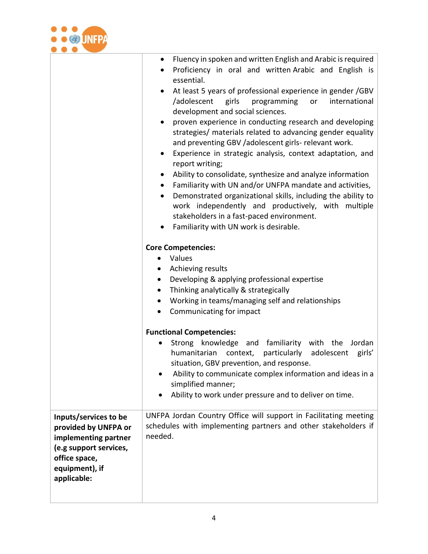

|                                                                                                                          | Fluency in spoken and written English and Arabic is required<br>$\bullet$<br>Proficiency in oral and written Arabic and English is<br>essential.<br>At least 5 years of professional experience in gender /GBV<br>/adolescent<br>girls<br>programming<br>or<br>international<br>development and social sciences.<br>proven experience in conducting research and developing<br>$\bullet$<br>strategies/ materials related to advancing gender equality<br>and preventing GBV /adolescent girls- relevant work.<br>Experience in strategic analysis, context adaptation, and<br>$\bullet$<br>report writing;<br>Ability to consolidate, synthesize and analyze information<br>$\bullet$<br>Familiarity with UN and/or UNFPA mandate and activities,<br>$\bullet$<br>Demonstrated organizational skills, including the ability to<br>$\bullet$<br>work independently and productively, with multiple<br>stakeholders in a fast-paced environment.<br>Familiarity with UN work is desirable.<br>٠<br><b>Core Competencies:</b><br>Values<br>Achieving results<br>Developing & applying professional expertise<br>Thinking analytically & strategically<br>Working in teams/managing self and relationships<br>Communicating for impact<br>$\bullet$<br><b>Functional Competencies:</b><br>Strong knowledge and familiarity with the<br>Jordan<br>humanitarian<br>particularly<br>context,<br>adolescent<br>girls'<br>situation, GBV prevention, and response.<br>Ability to communicate complex information and ideas in a<br>simplified manner;<br>Ability to work under pressure and to deliver on time. |
|--------------------------------------------------------------------------------------------------------------------------|---------------------------------------------------------------------------------------------------------------------------------------------------------------------------------------------------------------------------------------------------------------------------------------------------------------------------------------------------------------------------------------------------------------------------------------------------------------------------------------------------------------------------------------------------------------------------------------------------------------------------------------------------------------------------------------------------------------------------------------------------------------------------------------------------------------------------------------------------------------------------------------------------------------------------------------------------------------------------------------------------------------------------------------------------------------------------------------------------------------------------------------------------------------------------------------------------------------------------------------------------------------------------------------------------------------------------------------------------------------------------------------------------------------------------------------------------------------------------------------------------------------------------------------------------------------------------------------------------------|
| Inputs/services to be                                                                                                    | UNFPA Jordan Country Office will support in Facilitating meeting                                                                                                                                                                                                                                                                                                                                                                                                                                                                                                                                                                                                                                                                                                                                                                                                                                                                                                                                                                                                                                                                                                                                                                                                                                                                                                                                                                                                                                                                                                                                        |
| provided by UNFPA or<br>implementing partner<br>(e.g support services,<br>office space,<br>equipment), if<br>applicable: | schedules with implementing partners and other stakeholders if<br>needed.                                                                                                                                                                                                                                                                                                                                                                                                                                                                                                                                                                                                                                                                                                                                                                                                                                                                                                                                                                                                                                                                                                                                                                                                                                                                                                                                                                                                                                                                                                                               |